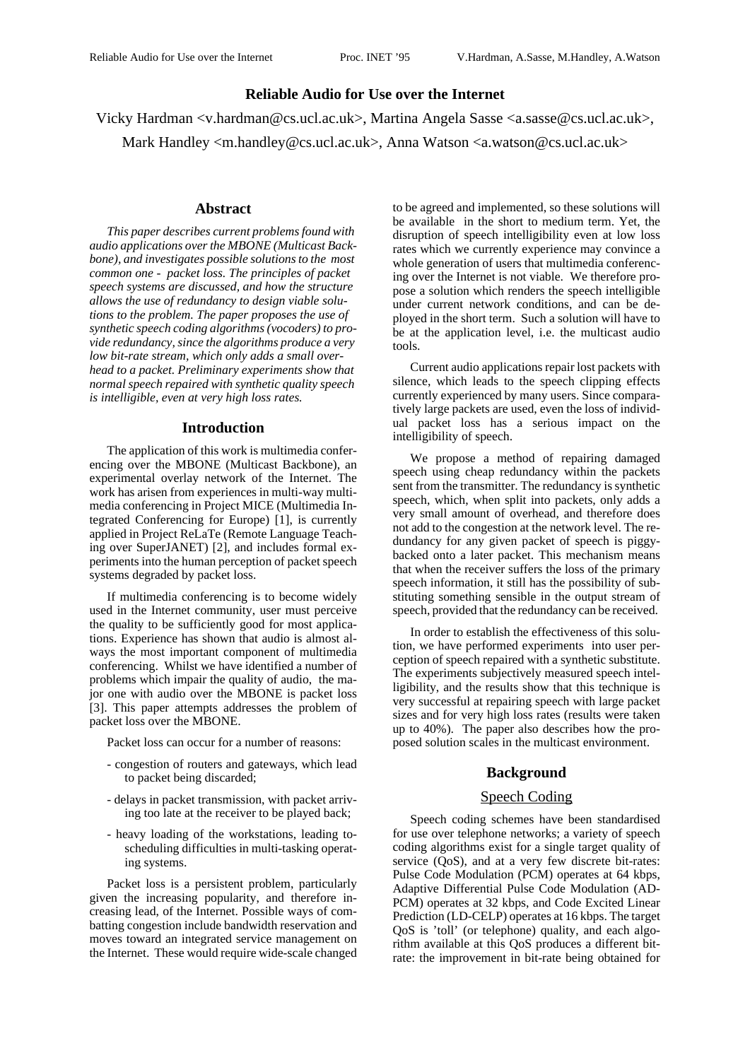## **Reliable Audio for Use over the Internet**

Vicky Hardman <v.hardman@cs.ucl.ac.uk>, Martina Angela Sasse <a.sasse@cs.ucl.ac.uk>,

Mark Handley <m.handley@cs.ucl.ac.uk>, Anna Watson <a.watson@cs.ucl.ac.uk>

#### **Abstract**

*This paper describes current problems found with audio applications over the MBONE (Multicast Backbone), and investigates possible solutions to the most common one - packet loss. The principles of packet speech systems are discussed, and how the structure allows the use of redundancy to design viable solutions to the problem. The paper proposes the use of synthetic speech coding algorithms (vocoders) to provide redundancy, since the algorithms produce a very low bit-rate stream, which only adds a small overhead to a packet. Preliminary experiments show that normal speech repaired with synthetic quality speech is intelligible, even at very high loss rates.*

#### **Introduction**

The application of this work is multimedia conferencing over the MBONE (Multicast Backbone), an experimental overlay network of the Internet. The work has arisen from experiences in multi-way multimedia conferencing in Project MICE (Multimedia Integrated Conferencing for Europe) [1], is currently applied in Project ReLaTe (Remote Language Teaching over SuperJANET) [2], and includes formal experiments into the human perception of packet speech systems degraded by packet loss.

If multimedia conferencing is to become widely used in the Internet community, user must perceive the quality to be sufficiently good for most applications. Experience has shown that audio is almost always the most important component of multimedia conferencing. Whilst we have identified a number of problems which impair the quality of audio, the major one with audio over the MBONE is packet loss [3]. This paper attempts addresses the problem of packet loss over the MBONE.

Packet loss can occur for a number of reasons:

- congestion of routers and gateways, which lead to packet being discarded;
- delays in packet transmission, with packet arriving too late at the receiver to be played back;
- heavy loading of the workstations, leading toscheduling difficulties in multi-tasking operating systems.

Packet loss is a persistent problem, particularly given the increasing popularity, and therefore increasing lead, of the Internet. Possible ways of combatting congestion include bandwidth reservation and moves toward an integrated service management on the Internet. These would require wide-scale changed to be agreed and implemented, so these solutions will be available in the short to medium term. Yet, the disruption of speech intelligibility even at low loss rates which we currently experience may convince a whole generation of users that multimedia conferencing over the Internet is not viable. We therefore propose a solution which renders the speech intelligible under current network conditions, and can be deployed in the short term. Such a solution will have to be at the application level, i.e. the multicast audio tools.

Current audio applications repair lost packets with silence, which leads to the speech clipping effects currently experienced by many users. Since comparatively large packets are used, even the loss of individual packet loss has a serious impact on the intelligibility of speech.

We propose a method of repairing damaged speech using cheap redundancy within the packets sent from the transmitter. The redundancy is synthetic speech, which, when split into packets, only adds a very small amount of overhead, and therefore does not add to the congestion at the network level. The redundancy for any given packet of speech is piggybacked onto a later packet. This mechanism means that when the receiver suffers the loss of the primary speech information, it still has the possibility of substituting something sensible in the output stream of speech, provided that the redundancy can be received.

In order to establish the effectiveness of this solution, we have performed experiments into user perception of speech repaired with a synthetic substitute. The experiments subjectively measured speech intelligibility, and the results show that this technique is very successful at repairing speech with large packet sizes and for very high loss rates (results were taken up to 40%). The paper also describes how the proposed solution scales in the multicast environment.

## **Background**

## Speech Coding

Speech coding schemes have been standardised for use over telephone networks; a variety of speech coding algorithms exist for a single target quality of service (QoS), and at a very few discrete bit-rates: Pulse Code Modulation (PCM) operates at 64 kbps, Adaptive Differential Pulse Code Modulation (AD-PCM) operates at 32 kbps, and Code Excited Linear Prediction (LD-CELP) operates at 16 kbps. The target QoS is 'toll' (or telephone) quality, and each algorithm available at this QoS produces a different bitrate: the improvement in bit-rate being obtained for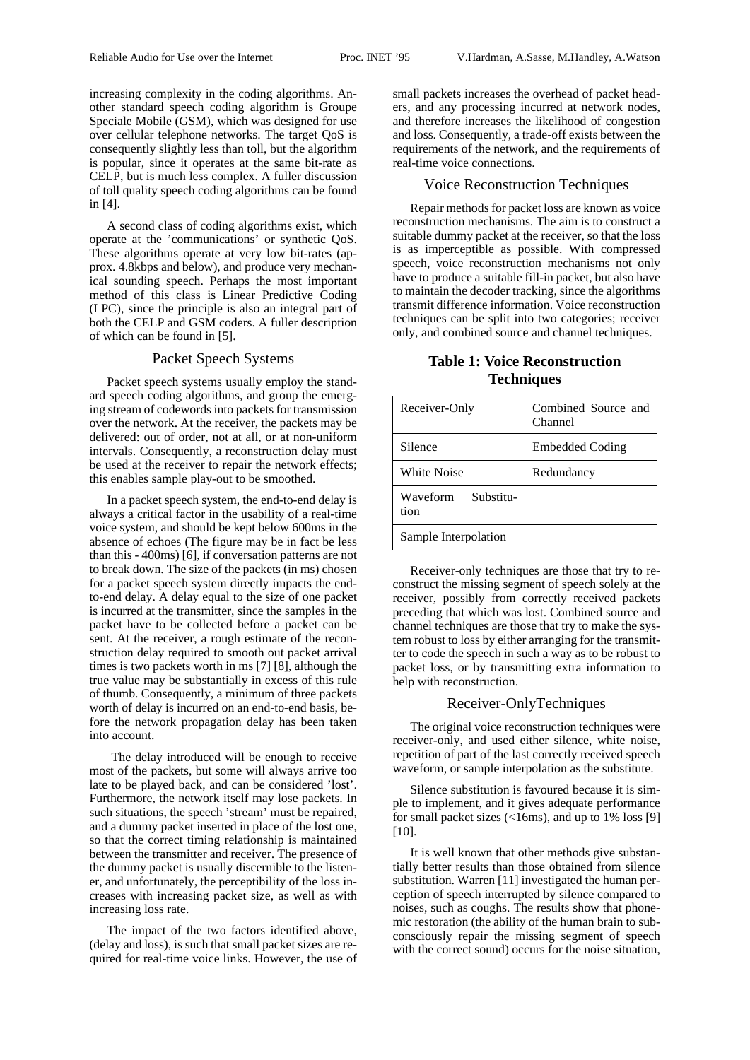increasing complexity in the coding algorithms. Another standard speech coding algorithm is Groupe Speciale Mobile (GSM), which was designed for use over cellular telephone networks. The target QoS is consequently slightly less than toll, but the algorithm is popular, since it operates at the same bit-rate as CELP, but is much less complex. A fuller discussion of toll quality speech coding algorithms can be found in [4].

A second class of coding algorithms exist, which operate at the 'communications' or synthetic QoS. These algorithms operate at very low bit-rates (approx. 4.8kbps and below), and produce very mechanical sounding speech. Perhaps the most important method of this class is Linear Predictive Coding (LPC), since the principle is also an integral part of both the CELP and GSM coders. A fuller description of which can be found in [5].

### Packet Speech Systems

Packet speech systems usually employ the standard speech coding algorithms, and group the emerging stream of codewords into packets for transmission over the network. At the receiver, the packets may be delivered: out of order, not at all, or at non-uniform intervals. Consequently, a reconstruction delay must be used at the receiver to repair the network effects; this enables sample play-out to be smoothed.

In a packet speech system, the end-to-end delay is always a critical factor in the usability of a real-time voice system, and should be kept below 600ms in the absence of echoes (The figure may be in fact be less than this - 400ms) [6], if conversation patterns are not to break down. The size of the packets (in ms) chosen for a packet speech system directly impacts the endto-end delay. A delay equal to the size of one packet is incurred at the transmitter, since the samples in the packet have to be collected before a packet can be sent. At the receiver, a rough estimate of the reconstruction delay required to smooth out packet arrival times is two packets worth in ms [7] [8], although the true value may be substantially in excess of this rule of thumb. Consequently, a minimum of three packets worth of delay is incurred on an end-to-end basis, before the network propagation delay has been taken into account.

 The delay introduced will be enough to receive most of the packets, but some will always arrive too late to be played back, and can be considered 'lost'. Furthermore, the network itself may lose packets. In such situations, the speech 'stream' must be repaired, and a dummy packet inserted in place of the lost one, so that the correct timing relationship is maintained between the transmitter and receiver. The presence of the dummy packet is usually discernible to the listener, and unfortunately, the perceptibility of the loss increases with increasing packet size, as well as with increasing loss rate.

The impact of the two factors identified above, (delay and loss), is such that small packet sizes are required for real-time voice links. However, the use of small packets increases the overhead of packet headers, and any processing incurred at network nodes, and therefore increases the likelihood of congestion and loss. Consequently, a trade-off exists between the requirements of the network, and the requirements of real-time voice connections.

# Voice Reconstruction Techniques

Repair methods for packet loss are known as voice reconstruction mechanisms. The aim is to construct a suitable dummy packet at the receiver, so that the loss is as imperceptible as possible. With compressed speech, voice reconstruction mechanisms not only have to produce a suitable fill-in packet, but also have to maintain the decoder tracking, since the algorithms transmit difference information. Voice reconstruction techniques can be split into two categories; receiver only, and combined source and channel techniques.

|  | <b>Table 1: Voice Reconstruction</b> |
|--|--------------------------------------|
|  | <b>Techniques</b>                    |

| Receiver-Only                 | Combined Source and<br>Channel |
|-------------------------------|--------------------------------|
| Silence                       | Embedded Coding                |
| White Noise                   | Redundancy                     |
| Waveform<br>Substitu-<br>tion |                                |
| Sample Interpolation          |                                |

Receiver-only techniques are those that try to reconstruct the missing segment of speech solely at the receiver, possibly from correctly received packets preceding that which was lost. Combined source and channel techniques are those that try to make the system robust to loss by either arranging for the transmitter to code the speech in such a way as to be robust to packet loss, or by transmitting extra information to help with reconstruction.

## Receiver-OnlyTechniques

The original voice reconstruction techniques were receiver-only, and used either silence, white noise, repetition of part of the last correctly received speech waveform, or sample interpolation as the substitute.

Silence substitution is favoured because it is simple to implement, and it gives adequate performance for small packet sizes (<16ms), and up to 1% loss [9] [10].

It is well known that other methods give substantially better results than those obtained from silence substitution. Warren [11] investigated the human perception of speech interrupted by silence compared to noises, such as coughs. The results show that phonemic restoration (the ability of the human brain to subconsciously repair the missing segment of speech with the correct sound) occurs for the noise situation,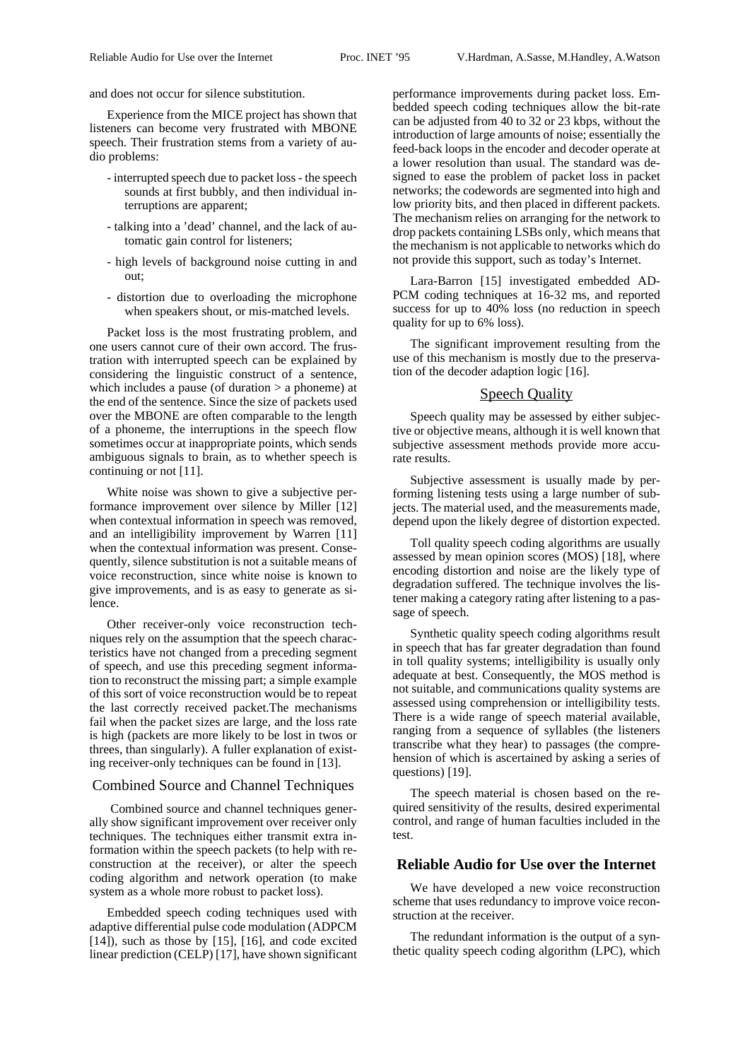and does not occur for silence substitution.

Experience from the MICE project has shown that listeners can become very frustrated with MBONE speech. Their frustration stems from a variety of audio problems:

- interrupted speech due to packet loss the speech sounds at first bubbly, and then individual interruptions are apparent;
- talking into a 'dead' channel, and the lack of automatic gain control for listeners;
- high levels of background noise cutting in and out;
- distortion due to overloading the microphone when speakers shout, or mis-matched levels.

Packet loss is the most frustrating problem, and one users cannot cure of their own accord. The frustration with interrupted speech can be explained by considering the linguistic construct of a sentence, which includes a pause (of duration  $>$  a phoneme) at the end of the sentence. Since the size of packets used over the MBONE are often comparable to the length of a phoneme, the interruptions in the speech flow sometimes occur at inappropriate points, which sends ambiguous signals to brain, as to whether speech is continuing or not [11].

White noise was shown to give a subjective performance improvement over silence by Miller [12] when contextual information in speech was removed, and an intelligibility improvement by Warren [11] when the contextual information was present. Consequently, silence substitution is not a suitable means of voice reconstruction, since white noise is known to give improvements, and is as easy to generate as silence.

Other receiver-only voice reconstruction techniques rely on the assumption that the speech characteristics have not changed from a preceding segment of speech, and use this preceding segment information to reconstruct the missing part; a simple example of this sort of voice reconstruction would be to repeat the last correctly received packet.The mechanisms fail when the packet sizes are large, and the loss rate is high (packets are more likely to be lost in twos or threes, than singularly). A fuller explanation of existing receiver-only techniques can be found in [13].

## Combined Source and Channel Techniques

 Combined source and channel techniques generally show significant improvement over receiver only techniques. The techniques either transmit extra information within the speech packets (to help with reconstruction at the receiver), or alter the speech coding algorithm and network operation (to make system as a whole more robust to packet loss).

Embedded speech coding techniques used with adaptive differential pulse code modulation (ADPCM [14]), such as those by [15], [16], and code excited linear prediction (CELP) [17], have shown significant performance improvements during packet loss. Embedded speech coding techniques allow the bit-rate can be adjusted from 40 to 32 or 23 kbps, without the introduction of large amounts of noise; essentially the feed-back loops in the encoder and decoder operate at a lower resolution than usual. The standard was designed to ease the problem of packet loss in packet networks; the codewords are segmented into high and low priority bits, and then placed in different packets. The mechanism relies on arranging for the network to drop packets containing LSBs only, which means that the mechanism is not applicable to networks which do not provide this support, such as today's Internet.

Lara-Barron [15] investigated embedded AD-PCM coding techniques at 16-32 ms, and reported success for up to 40% loss (no reduction in speech quality for up to 6% loss).

The significant improvement resulting from the use of this mechanism is mostly due to the preservation of the decoder adaption logic [16].

### Speech Quality

Speech quality may be assessed by either subjective or objective means, although it is well known that subjective assessment methods provide more accurate results.

Subjective assessment is usually made by performing listening tests using a large number of subjects. The material used, and the measurements made, depend upon the likely degree of distortion expected.

Toll quality speech coding algorithms are usually assessed by mean opinion scores (MOS) [18], where encoding distortion and noise are the likely type of degradation suffered. The technique involves the listener making a category rating after listening to a passage of speech.

Synthetic quality speech coding algorithms result in speech that has far greater degradation than found in toll quality systems; intelligibility is usually only adequate at best. Consequently, the MOS method is not suitable, and communications quality systems are assessed using comprehension or intelligibility tests. There is a wide range of speech material available, ranging from a sequence of syllables (the listeners transcribe what they hear) to passages (the comprehension of which is ascertained by asking a series of questions) [19].

The speech material is chosen based on the required sensitivity of the results, desired experimental control, and range of human faculties included in the test.

#### **Reliable Audio for Use over the Internet**

We have developed a new voice reconstruction scheme that uses redundancy to improve voice reconstruction at the receiver.

The redundant information is the output of a synthetic quality speech coding algorithm (LPC), which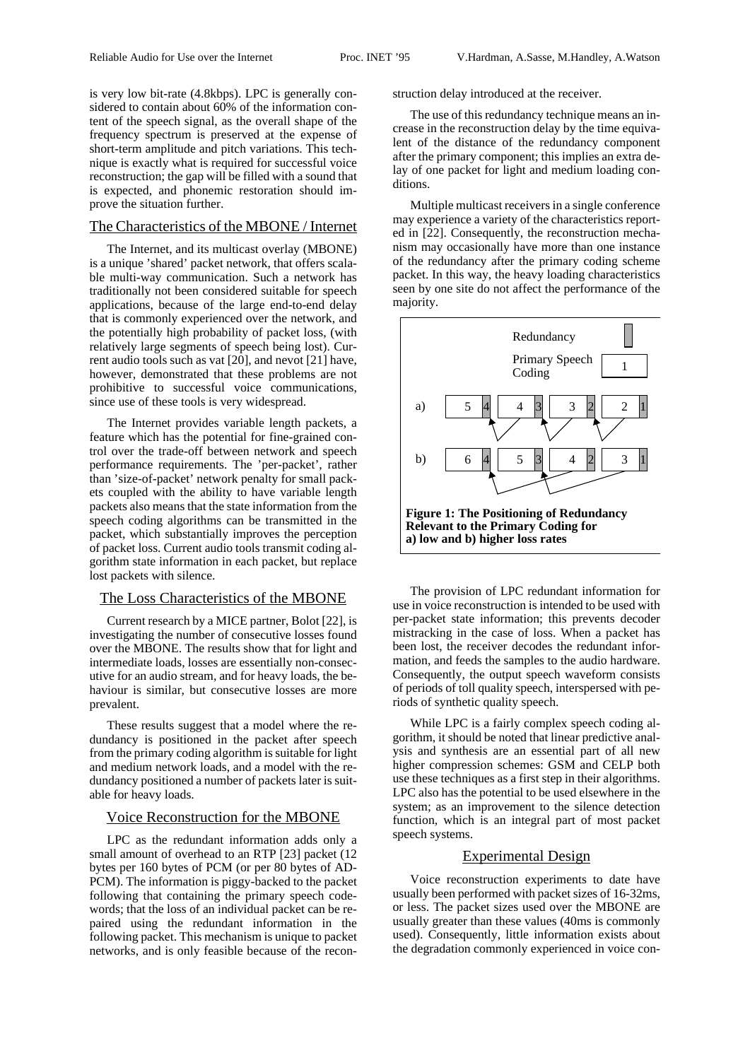is very low bit-rate (4.8kbps). LPC is generally considered to contain about 60% of the information content of the speech signal, as the overall shape of the frequency spectrum is preserved at the expense of short-term amplitude and pitch variations. This technique is exactly what is required for successful voice reconstruction; the gap will be filled with a sound that is expected, and phonemic restoration should improve the situation further.

## The Characteristics of the MBONE / Internet

The Internet, and its multicast overlay (MBONE) is a unique 'shared' packet network, that offers scalable multi-way communication. Such a network has traditionally not been considered suitable for speech applications, because of the large end-to-end delay that is commonly experienced over the network, and the potentially high probability of packet loss, (with relatively large segments of speech being lost). Current audio tools such as vat [20], and nevot [21] have, however, demonstrated that these problems are not prohibitive to successful voice communications, since use of these tools is very widespread.

The Internet provides variable length packets, a feature which has the potential for fine-grained control over the trade-off between network and speech performance requirements. The 'per-packet', rather than 'size-of-packet' network penalty for small packets coupled with the ability to have variable length packets also means that the state information from the speech coding algorithms can be transmitted in the packet, which substantially improves the perception of packet loss. Current audio tools transmit coding algorithm state information in each packet, but replace lost packets with silence.

## The Loss Characteristics of the MBONE

Current research by a MICE partner, Bolot [22], is investigating the number of consecutive losses found over the MBONE. The results show that for light and intermediate loads, losses are essentially non-consecutive for an audio stream, and for heavy loads, the behaviour is similar, but consecutive losses are more prevalent.

These results suggest that a model where the redundancy is positioned in the packet after speech from the primary coding algorithm is suitable for light and medium network loads, and a model with the redundancy positioned a number of packets later is suitable for heavy loads.

### Voice Reconstruction for the MBONE

LPC as the redundant information adds only a small amount of overhead to an RTP [23] packet (12 bytes per 160 bytes of PCM (or per 80 bytes of AD-PCM). The information is piggy-backed to the packet following that containing the primary speech codewords; that the loss of an individual packet can be repaired using the redundant information in the following packet. This mechanism is unique to packet networks, and is only feasible because of the reconstruction delay introduced at the receiver.

The use of this redundancy technique means an increase in the reconstruction delay by the time equivalent of the distance of the redundancy component after the primary component; this implies an extra delay of one packet for light and medium loading conditions.

Multiple multicast receivers in a single conference may experience a variety of the characteristics reported in [22]. Consequently, the reconstruction mechanism may occasionally have more than one instance of the redundancy after the primary coding scheme packet. In this way, the heavy loading characteristics seen by one site do not affect the performance of the majority.



The provision of LPC redundant information for use in voice reconstruction is intended to be used with per-packet state information; this prevents decoder mistracking in the case of loss. When a packet has been lost, the receiver decodes the redundant information, and feeds the samples to the audio hardware. Consequently, the output speech waveform consists of periods of toll quality speech, interspersed with periods of synthetic quality speech.

While LPC is a fairly complex speech coding algorithm, it should be noted that linear predictive analysis and synthesis are an essential part of all new higher compression schemes: GSM and CELP both use these techniques as a first step in their algorithms. LPC also has the potential to be used elsewhere in the system; as an improvement to the silence detection function, which is an integral part of most packet speech systems.

## Experimental Design

Voice reconstruction experiments to date have usually been performed with packet sizes of 16-32ms, or less. The packet sizes used over the MBONE are usually greater than these values (40ms is commonly used). Consequently, little information exists about the degradation commonly experienced in voice con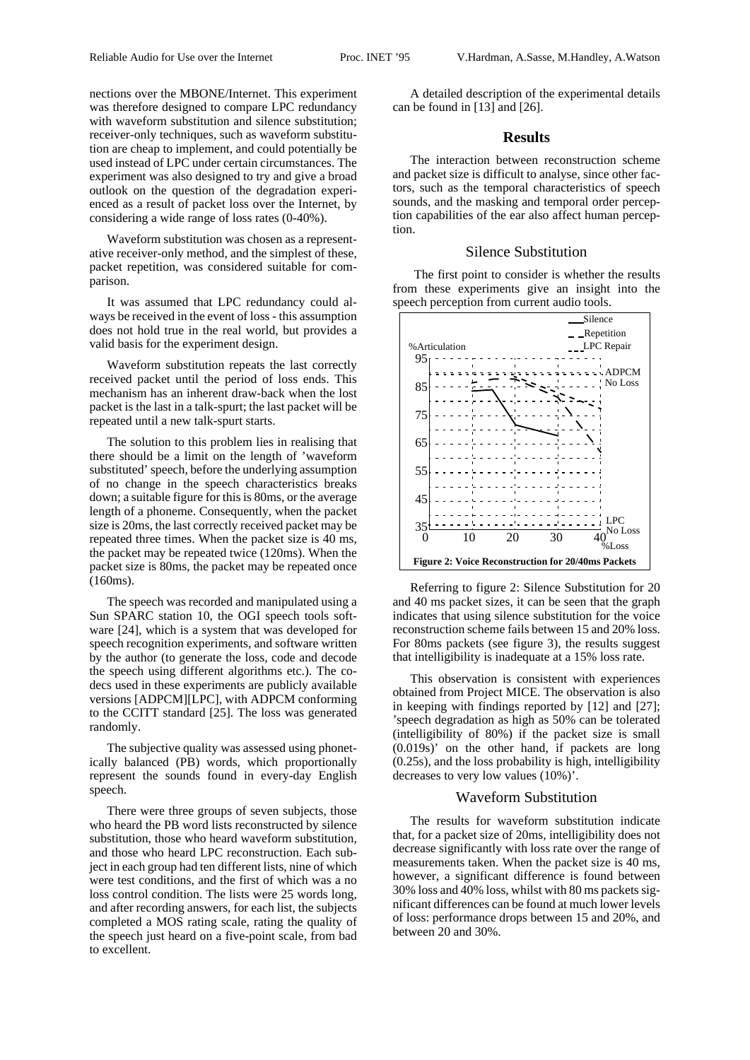nections over the MBONE/Internet. This experiment was therefore designed to compare LPC redundancy with waveform substitution and silence substitution; receiver-only techniques, such as waveform substitution are cheap to implement, and could potentially be used instead of LPC under certain circumstances. The experiment was also designed to try and give a broad outlook on the question of the degradation experienced as a result of packet loss over the Internet, by considering a wide range of loss rates (0-40%).

Waveform substitution was chosen as a representative receiver-only method, and the simplest of these, packet repetition, was considered suitable for comparison.

It was assumed that LPC redundancy could always be received in the event of loss - this assumption does not hold true in the real world, but provides a valid basis for the experiment design.

Waveform substitution repeats the last correctly received packet until the period of loss ends. This mechanism has an inherent draw-back when the lost packet is the last in a talk-spurt; the last packet will be repeated until a new talk-spurt starts.

The solution to this problem lies in realising that there should be a limit on the length of 'waveform substituted' speech, before the underlying assumption of no change in the speech characteristics breaks down; a suitable figure for this is 80ms, or the average length of a phoneme. Consequently, when the packet size is 20ms, the last correctly received packet may be repeated three times. When the packet size is 40 ms, the packet may be repeated twice (120ms). When the packet size is 80ms, the packet may be repeated once (160ms).

The speech was recorded and manipulated using a Sun SPARC station 10, the OGI speech tools software [24], which is a system that was developed for speech recognition experiments, and software written by the author (to generate the loss, code and decode the speech using different algorithms etc.). The codecs used in these experiments are publicly available versions [ADPCM][LPC], with ADPCM conforming to the CCITT standard [25]. The loss was generated randomly.

The subjective quality was assessed using phonetically balanced (PB) words, which proportionally represent the sounds found in every-day English speech.

There were three groups of seven subjects, those who heard the PB word lists reconstructed by silence substitution, those who heard waveform substitution, and those who heard LPC reconstruction. Each subject in each group had ten different lists, nine of which were test conditions, and the first of which was a no loss control condition. The lists were 25 words long, and after recording answers, for each list, the subjects completed a MOS rating scale, rating the quality of the speech just heard on a five-point scale, from bad to excellent.

A detailed description of the experimental details can be found in [13] and [26].

### **Results**

The interaction between reconstruction scheme and packet size is difficult to analyse, since other factors, such as the temporal characteristics of speech sounds, and the masking and temporal order perception capabilities of the ear also affect human perception.

#### Silence Substitution

 The first point to consider is whether the results from these experiments give an insight into the speech perception from current audio tools.



Referring to figure 2: Silence Substitution for 20 and 40 ms packet sizes, it can be seen that the graph indicates that using silence substitution for the voice reconstruction scheme fails between 15 and 20% loss. For 80ms packets (see figure 3), the results suggest that intelligibility is inadequate at a 15% loss rate.

This observation is consistent with experiences obtained from Project MICE. The observation is also in keeping with findings reported by [12] and [27]; 'speech degradation as high as 50% can be tolerated (intelligibility of 80%) if the packet size is small (0.019s)' on the other hand, if packets are long (0.25s), and the loss probability is high, intelligibility decreases to very low values (10%)'.

## Waveform Substitution

The results for waveform substitution indicate that, for a packet size of 20ms, intelligibility does not decrease significantly with loss rate over the range of measurements taken. When the packet size is 40 ms, however, a significant difference is found between 30% loss and 40% loss, whilst with 80 ms packets significant differences can be found at much lower levels of loss: performance drops between 15 and 20%, and between 20 and 30%.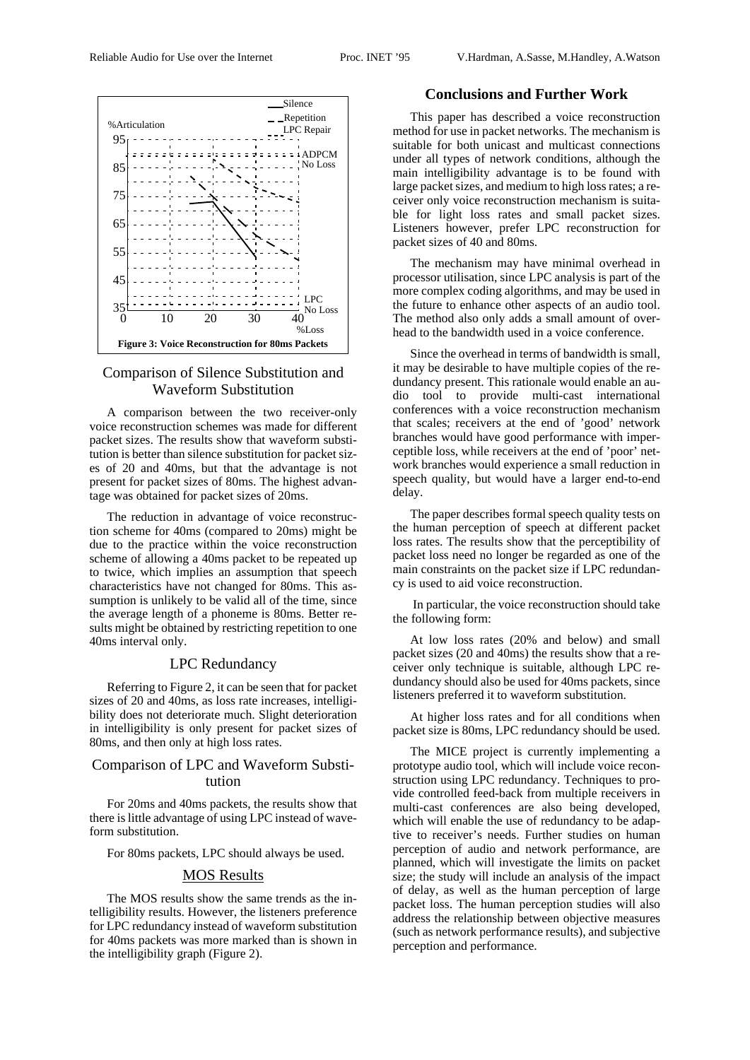

## Comparison of Silence Substitution and Waveform Substitution

A comparison between the two receiver-only voice reconstruction schemes was made for different packet sizes. The results show that waveform substitution is better than silence substitution for packet sizes of 20 and 40ms, but that the advantage is not present for packet sizes of 80ms. The highest advantage was obtained for packet sizes of 20ms.

The reduction in advantage of voice reconstruction scheme for 40ms (compared to 20ms) might be due to the practice within the voice reconstruction scheme of allowing a 40ms packet to be repeated up to twice, which implies an assumption that speech characteristics have not changed for 80ms. This assumption is unlikely to be valid all of the time, since the average length of a phoneme is 80ms. Better results might be obtained by restricting repetition to one 40ms interval only.

### LPC Redundancy

Referring to Figure 2, it can be seen that for packet sizes of 20 and 40ms, as loss rate increases, intelligibility does not deteriorate much. Slight deterioration in intelligibility is only present for packet sizes of 80ms, and then only at high loss rates.

# Comparison of LPC and Waveform Substitution

For 20ms and 40ms packets, the results show that there is little advantage of using LPC instead of waveform substitution.

For 80ms packets, LPC should always be used.

## MOS Results

The MOS results show the same trends as the intelligibility results. However, the listeners preference for LPC redundancy instead of waveform substitution for 40ms packets was more marked than is shown in the intelligibility graph (Figure 2).

## **Conclusions and Further Work**

This paper has described a voice reconstruction method for use in packet networks. The mechanism is suitable for both unicast and multicast connections under all types of network conditions, although the main intelligibility advantage is to be found with large packet sizes, and medium to high loss rates; a receiver only voice reconstruction mechanism is suitable for light loss rates and small packet sizes. Listeners however, prefer LPC reconstruction for packet sizes of 40 and 80ms.

The mechanism may have minimal overhead in processor utilisation, since LPC analysis is part of the more complex coding algorithms, and may be used in the future to enhance other aspects of an audio tool. The method also only adds a small amount of overhead to the bandwidth used in a voice conference.

Since the overhead in terms of bandwidth is small, it may be desirable to have multiple copies of the redundancy present. This rationale would enable an audio tool to provide multi-cast international conferences with a voice reconstruction mechanism that scales; receivers at the end of 'good' network branches would have good performance with imperceptible loss, while receivers at the end of 'poor' network branches would experience a small reduction in speech quality, but would have a larger end-to-end delay.

The paper describes formal speech quality tests on the human perception of speech at different packet loss rates. The results show that the perceptibility of packet loss need no longer be regarded as one of the main constraints on the packet size if LPC redundancy is used to aid voice reconstruction.

 In particular, the voice reconstruction should take the following form:

At low loss rates (20% and below) and small packet sizes (20 and 40ms) the results show that a receiver only technique is suitable, although LPC redundancy should also be used for 40ms packets, since listeners preferred it to waveform substitution.

At higher loss rates and for all conditions when packet size is 80ms, LPC redundancy should be used.

The MICE project is currently implementing a prototype audio tool, which will include voice reconstruction using LPC redundancy. Techniques to provide controlled feed-back from multiple receivers in multi-cast conferences are also being developed, which will enable the use of redundancy to be adaptive to receiver's needs. Further studies on human perception of audio and network performance, are planned, which will investigate the limits on packet size; the study will include an analysis of the impact of delay, as well as the human perception of large packet loss. The human perception studies will also address the relationship between objective measures (such as network performance results), and subjective perception and performance.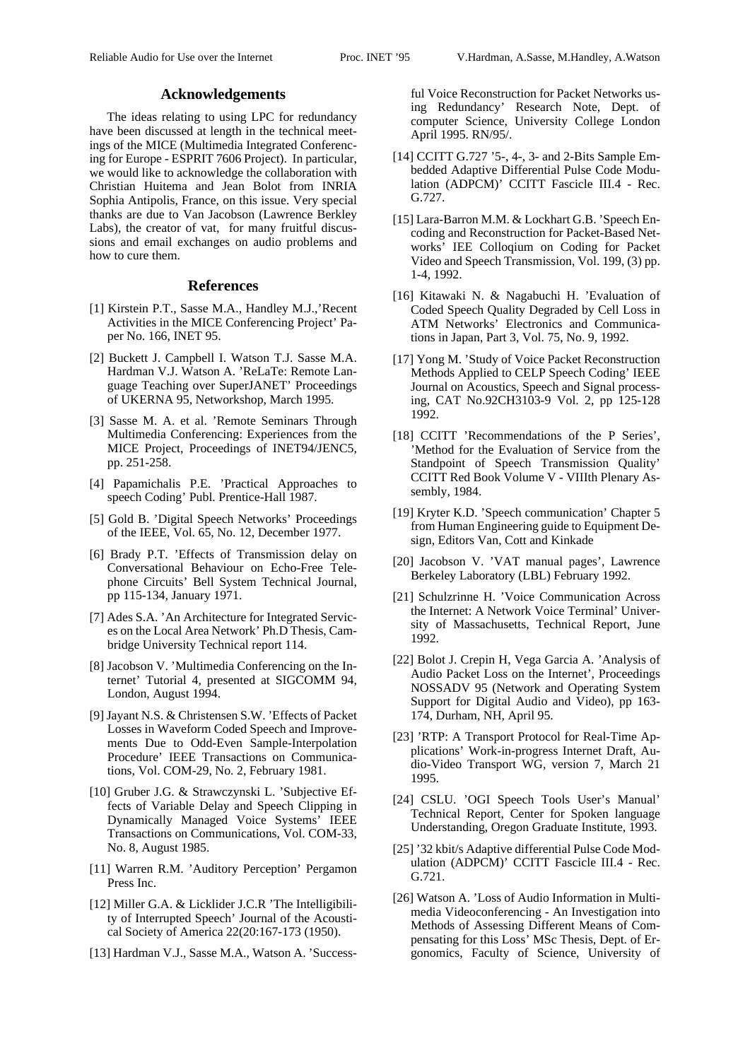#### **Acknowledgements**

The ideas relating to using LPC for redundancy have been discussed at length in the technical meetings of the MICE (Multimedia Integrated Conferencing for Europe - ESPRIT 7606 Project). In particular, we would like to acknowledge the collaboration with Christian Huitema and Jean Bolot from INRIA Sophia Antipolis, France, on this issue. Very special thanks are due to Van Jacobson (Lawrence Berkley Labs), the creator of vat, for many fruitful discussions and email exchanges on audio problems and how to cure them.

### **References**

- [1] Kirstein P.T., Sasse M.A., Handley M.J.,'Recent Activities in the MICE Conferencing Project' Paper No. 166, INET 95.
- [2] Buckett J. Campbell I. Watson T.J. Sasse M.A. Hardman V.J. Watson A. 'ReLaTe: Remote Language Teaching over SuperJANET' Proceedings of UKERNA 95, Networkshop, March 1995.
- [3] Sasse M. A. et al. 'Remote Seminars Through Multimedia Conferencing: Experiences from the MICE Project, Proceedings of INET94/JENC5, pp. 251-258.
- [4] Papamichalis P.E. 'Practical Approaches to speech Coding' Publ. Prentice-Hall 1987.
- [5] Gold B. 'Digital Speech Networks' Proceedings of the IEEE, Vol. 65, No. 12, December 1977.
- [6] Brady P.T. 'Effects of Transmission delay on Conversational Behaviour on Echo-Free Telephone Circuits' Bell System Technical Journal, pp 115-134, January 1971.
- [7] Ades S.A. 'An Architecture for Integrated Services on the Local Area Network' Ph.D Thesis, Cambridge University Technical report 114.
- [8] Jacobson V. 'Multimedia Conferencing on the Internet' Tutorial 4, presented at SIGCOMM 94, London, August 1994.
- [9] Jayant N.S. & Christensen S.W. 'Effects of Packet Losses in Waveform Coded Speech and Improvements Due to Odd-Even Sample-Interpolation Procedure' IEEE Transactions on Communications, Vol. COM-29, No. 2, February 1981.
- [10] Gruber J.G. & Strawczynski L. 'Subjective Effects of Variable Delay and Speech Clipping in Dynamically Managed Voice Systems' IEEE Transactions on Communications, Vol. COM-33, No. 8, August 1985.
- [11] Warren R.M. 'Auditory Perception' Pergamon Press Inc.
- [12] Miller G.A. & Licklider J.C.R 'The Intelligibility of Interrupted Speech' Journal of the Acoustical Society of America 22(20:167-173 (1950).
- [13] Hardman V.J., Sasse M.A., Watson A. 'Success-

ful Voice Reconstruction for Packet Networks using Redundancy' Research Note, Dept. of computer Science, University College London April 1995. RN/95/.

- [14] CCITT G.727 '5-, 4-, 3- and 2-Bits Sample Embedded Adaptive Differential Pulse Code Modulation (ADPCM)' CCITT Fascicle III.4 - Rec. G.727.
- [15] Lara-Barron M.M. & Lockhart G.B. 'Speech Encoding and Reconstruction for Packet-Based Networks' IEE Colloqium on Coding for Packet Video and Speech Transmission, Vol. 199, (3) pp. 1-4, 1992.
- [16] Kitawaki N. & Nagabuchi H. 'Evaluation of Coded Speech Quality Degraded by Cell Loss in ATM Networks' Electronics and Communications in Japan, Part 3, Vol. 75, No. 9, 1992.
- [17] Yong M. 'Study of Voice Packet Reconstruction Methods Applied to CELP Speech Coding' IEEE Journal on Acoustics, Speech and Signal processing, CAT No.92CH3103-9 Vol. 2, pp 125-128 1992.
- [18] CCITT 'Recommendations of the P Series', 'Method for the Evaluation of Service from the Standpoint of Speech Transmission Quality' CCITT Red Book Volume V - VIIIth Plenary Assembly, 1984.
- [19] Kryter K.D. 'Speech communication' Chapter 5 from Human Engineering guide to Equipment Design, Editors Van, Cott and Kinkade
- [20] Jacobson V. 'VAT manual pages', Lawrence Berkeley Laboratory (LBL) February 1992.
- [21] Schulzrinne H. 'Voice Communication Across the Internet: A Network Voice Terminal' University of Massachusetts, Technical Report, June 1992.
- [22] Bolot J. Crepin H, Vega Garcia A. 'Analysis of Audio Packet Loss on the Internet', Proceedings NOSSADV 95 (Network and Operating System Support for Digital Audio and Video), pp 163- 174, Durham, NH, April 95.
- [23] 'RTP: A Transport Protocol for Real-Time Applications' Work-in-progress Internet Draft, Audio-Video Transport WG, version 7, March 21 1995.
- [24] CSLU. 'OGI Speech Tools User's Manual' Technical Report, Center for Spoken language Understanding, Oregon Graduate Institute, 1993.
- [25] '32 kbit/s Adaptive differential Pulse Code Modulation (ADPCM)' CCITT Fascicle III.4 - Rec. G.721.
- [26] Watson A. 'Loss of Audio Information in Multimedia Videoconferencing - An Investigation into Methods of Assessing Different Means of Compensating for this Loss' MSc Thesis, Dept. of Ergonomics, Faculty of Science, University of